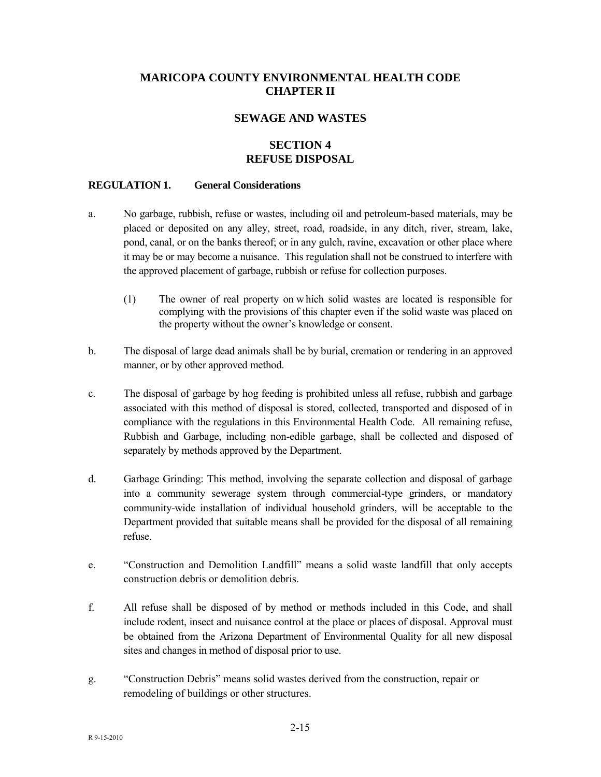# **MARICOPA COUNTY ENVIRONMENTAL HEALTH CODE CHAPTER II**

### **SEWAGE AND WASTES**

### **SECTION 4 REFUSE DISPOSAL**

#### **REGULATION 1. General Considerations**

- a. No garbage, rubbish, refuse or wastes, including oil and petroleum-based materials, may be placed or deposited on any alley, street, road, roadside, in any ditch, river, stream, lake, pond, canal, or on the banks thereof; or in any gulch, ravine, excavation or other place where it may be or may become a nuisance. This regulation shall not be construed to interfere with the approved placement of garbage, rubbish or refuse for collection purposes.
	- (1) The owner of real property on w hich solid wastes are located is responsible for complying with the provisions of this chapter even if the solid waste was placed on the property without the owner's knowledge or consent.
- b. The disposal of large dead animals shall be by burial, cremation or rendering in an approved manner, or by other approved method.
- c. The disposal of garbage by hog feeding is prohibited unless all refuse, rubbish and garbage associated with this method of disposal is stored, collected, transported and disposed of in compliance with the regulations in this Environmental Health Code. All remaining refuse, Rubbish and Garbage, including non-edible garbage, shall be collected and disposed of separately by methods approved by the Department.
- d. Garbage Grinding: This method, involving the separate collection and disposal of garbage into a community sewerage system through commercial-type grinders, or mandatory community-wide installation of individual household grinders, will be acceptable to the Department provided that suitable means shall be provided for the disposal of all remaining refuse.
- e. "Construction and Demolition Landfill" means a solid waste landfill that only accepts construction debris or demolition debris.
- f. All refuse shall be disposed of by method or methods included in this Code, and shall include rodent, insect and nuisance control at the place or places of disposal. Approval must be obtained from the Arizona Department of Environmental Quality for all new disposal sites and changes in method of disposal prior to use.
- g. "Construction Debris" means solid wastes derived from the construction, repair or remodeling of buildings or other structures.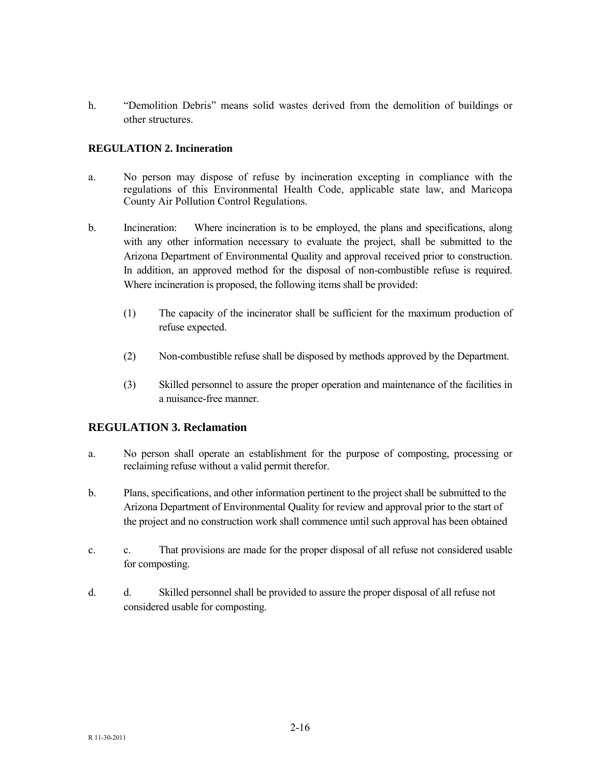h. "Demolition Debris" means solid wastes derived from the demolition of buildings or other structures.

### **REGULATION 2. Incineration**

- a. No person may dispose of refuse by incineration excepting in compliance with the regulations of this Environmental Health Code, applicable state law, and Maricopa County Air Pollution Control Regulations.
- b. Incineration: Where incineration is to be employed, the plans and specifications, along with any other information necessary to evaluate the project, shall be submitted to the Arizona Department of Environmental Quality and approval received prior to construction. In addition, an approved method for the disposal of non-combustible refuse is required. Where incineration is proposed, the following items shall be provided:
	- (1) The capacity of the incinerator shall be sufficient for the maximum production of refuse expected.
	- (2) Non-combustible refuse shall be disposed by methods approved by the Department.
	- (3) Skilled personnel to assure the proper operation and maintenance of the facilities in a nuisance-free manner.

## **REGULATION 3. Reclamation**

- a. No person shall operate an establishment for the purpose of composting, processing or reclaiming refuse without a valid permit therefor.
- b. Plans, specifications, and other information pertinent to the project shall be submitted to the Arizona Department of Environmental Quality for review and approval prior to the start of the project and no construction work shall commence until such approval has been obtained
- c. c. That provisions are made for the proper disposal of all refuse not considered usable for composting.
- d. d. Skilled personnel shall be provided to assure the proper disposal of all refuse not considered usable for composting.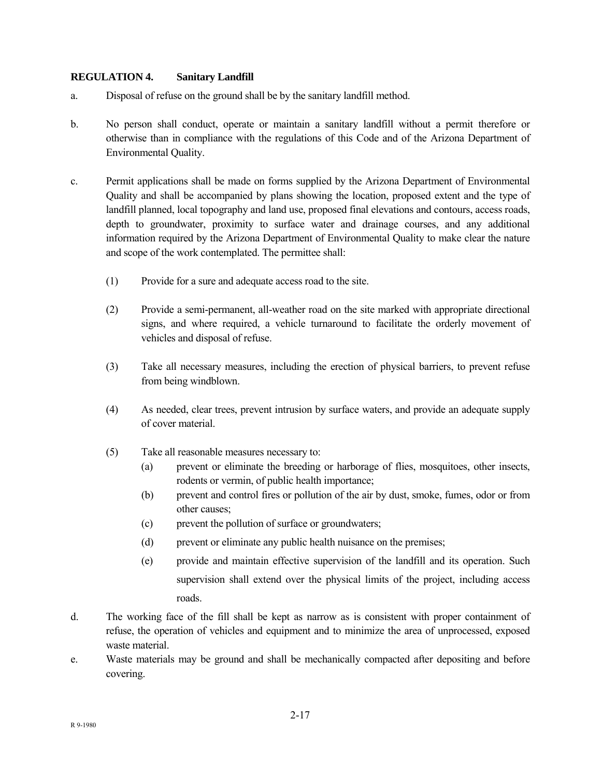#### **REGULATION 4. Sanitary Landfill**

- a. Disposal of refuse on the ground shall be by the sanitary landfill method.
- b. No person shall conduct, operate or maintain a sanitary landfill without a permit therefore or otherwise than in compliance with the regulations of this Code and of the Arizona Department of Environmental Quality.
- c. Permit applications shall be made on forms supplied by the Arizona Department of Environmental Quality and shall be accompanied by plans showing the location, proposed extent and the type of landfill planned, local topography and land use, proposed final elevations and contours, access roads, depth to groundwater, proximity to surface water and drainage courses, and any additional information required by the Arizona Department of Environmental Quality to make clear the nature and scope of the work contemplated. The permittee shall:
	- (1) Provide for a sure and adequate access road to the site.
	- (2) Provide a semi-permanent, all-weather road on the site marked with appropriate directional signs, and where required, a vehicle turnaround to facilitate the orderly movement of vehicles and disposal of refuse.
	- (3) Take all necessary measures, including the erection of physical barriers, to prevent refuse from being windblown.
	- (4) As needed, clear trees, prevent intrusion by surface waters, and provide an adequate supply of cover material.
	- (5) Take all reasonable measures necessary to:
		- (a) prevent or eliminate the breeding or harborage of flies, mosquitoes, other insects, rodents or vermin, of public health importance;
		- (b) prevent and control fires or pollution of the air by dust, smoke, fumes, odor or from other causes;
		- (c) prevent the pollution of surface or groundwaters;
		- (d) prevent or eliminate any public health nuisance on the premises;
		- (e) provide and maintain effective supervision of the landfill and its operation. Such supervision shall extend over the physical limits of the project, including access roads.
- d. The working face of the fill shall be kept as narrow as is consistent with proper containment of refuse, the operation of vehicles and equipment and to minimize the area of unprocessed, exposed waste material.
- e. Waste materials may be ground and shall be mechanically compacted after depositing and before covering.